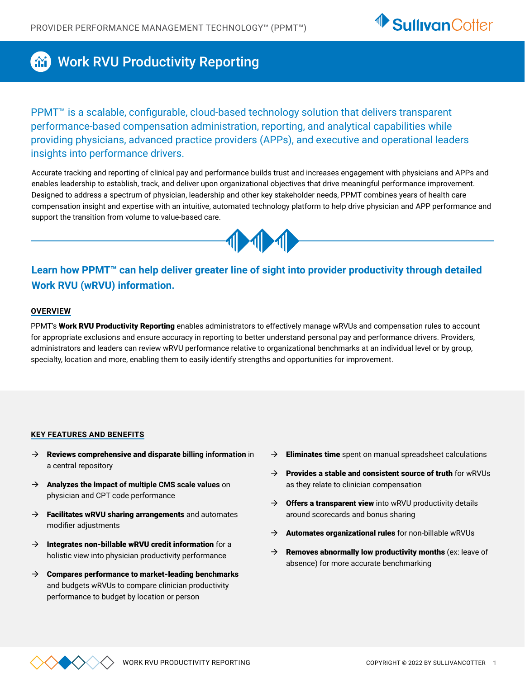

## **AND Work RVU Productivity Reporting**

PPMT<sup>™</sup> is a scalable, configurable, cloud-based technology solution that delivers transparent performance-based compensation administration, reporting, and analytical capabilities while providing physicians, advanced practice providers (APPs), and executive and operational leaders insights into performance drivers.

Accurate tracking and reporting of clinical pay and performance builds trust and increases engagement with physicians and APPs and enables leadership to establish, track, and deliver upon organizational objectives that drive meaningful performance improvement. Designed to address a spectrum of physician, leadership and other key stakeholder needs, PPMT combines years of health care compensation insight and expertise with an intuitive, automated technology platform to help drive physician and APP performance and support the transition from volume to value-based care.



## **Learn how PPMT™ can help deliver greater line of sight into provider productivity through detailed Work RVU (wRVU) information.**

### **OVERVIEW**

PPMT's Work RVU Productivity Reporting enables administrators to effectively manage wRVUs and compensation rules to account for appropriate exclusions and ensure accuracy in reporting to better understand personal pay and performance drivers. Providers, administrators and leaders can review wRVU performance relative to organizational benchmarks at an individual level or by group, specialty, location and more, enabling them to easily identify strengths and opportunities for improvement.

### **KEY FEATURES AND BENEFITS**

- Æ Reviews comprehensive and disparate **billing information** in a central repository
- → **Analyzes the impact of multiple CMS scale values** on physician and CPT code performance
- $\rightarrow$  Facilitates wRVU sharing arrangements and automates modifier adjustments
- $\rightarrow$  Integrates non-billable wRVU credit information for a holistic view into physician productivity performance
- $\rightarrow$  Compares performance to market-leading benchmarks and budgets wRVUs to compare clinician productivity performance to budget by location or person
- $\rightarrow$  Eliminates time spent on manual spreadsheet calculations
- $\rightarrow$  Provides a stable and consistent source of truth for wRVUs as they relate to clinician compensation
- $\rightarrow$  Offers a transparent view into wRVU productivity details around scorecards and bonus sharing
- $\rightarrow$  Automates organizational rules for non-billable wRVUs
- $\rightarrow$  Removes abnormally low productivity months (ex: leave of absence) for more accurate benchmarking